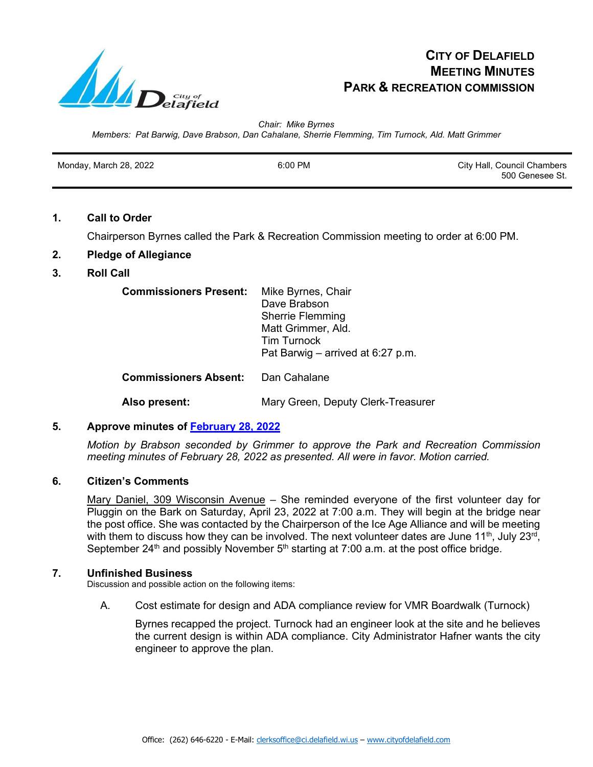

# **CITY OF DELAFIELD MEETING MINUTES PARK & RECREATION COMMISSION**

*Chair: Mike Byrnes Members: Pat Barwig, Dave Brabson, Dan Cahalane, Sherrie Flemming, Tim Turnock, Ald. Matt Grimmer*

| Monday, March 28, 2022 | 6:00 PM | City Hall, Council Chambers |
|------------------------|---------|-----------------------------|
|                        |         | 500 Genesee St.             |

## **1. Call to Order**

Chairperson Byrnes called the Park & Recreation Commission meeting to order at 6:00 PM.

# **2. Pledge of Allegiance**

# **3. Roll Call**

| <b>Commissioners Present:</b> | Mike Byrnes, Chair<br>Dave Brabson<br><b>Sherrie Flemming</b><br>Matt Grimmer, Ald.<br><b>Tim Turnock</b><br>Pat Barwig – arrived at 6:27 p.m. |  |  |  |
|-------------------------------|------------------------------------------------------------------------------------------------------------------------------------------------|--|--|--|
| <b>Commissioners Absent:</b>  | Dan Cahalane                                                                                                                                   |  |  |  |
| Also present:                 | Mary Green, Deputy Clerk-Treasurer                                                                                                             |  |  |  |

# **5. Approve minutes of [February 28, 2022](http://www.cityofdelafield.com/AgendaCenter/ViewFile/Minutes/_02282022-626)**

*Motion by Brabson seconded by Grimmer to approve the Park and Recreation Commission meeting minutes of February 28, 2022 as presented. All were in favor. Motion carried.*

#### **6. Citizen's Comments**

Mary Daniel, 309 Wisconsin Avenue - She reminded everyone of the first volunteer day for Pluggin on the Bark on Saturday, April 23, 2022 at 7:00 a.m. They will begin at the bridge near the post office. She was contacted by the Chairperson of the Ice Age Alliance and will be meeting with them to discuss how they can be involved. The next volunteer dates are June 11<sup>th</sup>, July 23<sup>rd</sup>, September 24<sup>th</sup> and possibly November  $5<sup>th</sup>$  starting at 7:00 a.m. at the post office bridge.

#### **7. Unfinished Business**

Discussion and possible action on the following items:

A. Cost estimate for design and ADA compliance review for VMR Boardwalk (Turnock)

Byrnes recapped the project. Turnock had an engineer look at the site and he believes the current design is within ADA compliance. City Administrator Hafner wants the city engineer to approve the plan.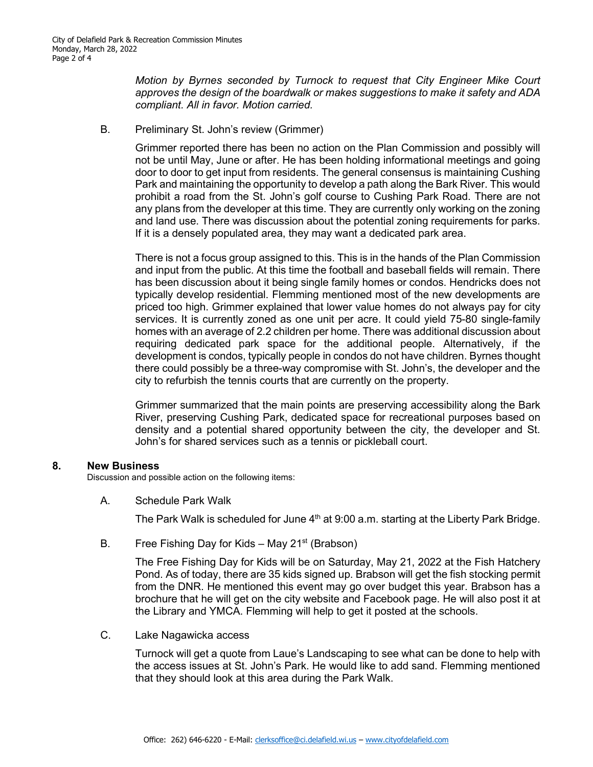*Motion by Byrnes seconded by Turnock to request that City Engineer Mike Court approves the design of the boardwalk or makes suggestions to make it safety and ADA compliant. All in favor. Motion carried.* 

B. Preliminary St. John's review (Grimmer)

Grimmer reported there has been no action on the Plan Commission and possibly will not be until May, June or after. He has been holding informational meetings and going door to door to get input from residents. The general consensus is maintaining Cushing Park and maintaining the opportunity to develop a path along the Bark River. This would prohibit a road from the St. John's golf course to Cushing Park Road. There are not any plans from the developer at this time. They are currently only working on the zoning and land use. There was discussion about the potential zoning requirements for parks. If it is a densely populated area, they may want a dedicated park area.

There is not a focus group assigned to this. This is in the hands of the Plan Commission and input from the public. At this time the football and baseball fields will remain. There has been discussion about it being single family homes or condos. Hendricks does not typically develop residential. Flemming mentioned most of the new developments are priced too high. Grimmer explained that lower value homes do not always pay for city services. It is currently zoned as one unit per acre. It could yield 75-80 single-family homes with an average of 2.2 children per home. There was additional discussion about requiring dedicated park space for the additional people. Alternatively, if the development is condos, typically people in condos do not have children. Byrnes thought there could possibly be a three-way compromise with St. John's, the developer and the city to refurbish the tennis courts that are currently on the property.

Grimmer summarized that the main points are preserving accessibility along the Bark River, preserving Cushing Park, dedicated space for recreational purposes based on density and a potential shared opportunity between the city, the developer and St. John's for shared services such as a tennis or pickleball court.

#### **8. New Business**

Discussion and possible action on the following items:

A. Schedule Park Walk

The Park Walk is scheduled for June  $4<sup>th</sup>$  at 9:00 a.m. starting at the Liberty Park Bridge.

B. Free Fishing Day for Kids – May  $21^{st}$  (Brabson)

The Free Fishing Day for Kids will be on Saturday, May 21, 2022 at the Fish Hatchery Pond. As of today, there are 35 kids signed up. Brabson will get the fish stocking permit from the DNR. He mentioned this event may go over budget this year. Brabson has a brochure that he will get on the city website and Facebook page. He will also post it at the Library and YMCA. Flemming will help to get it posted at the schools.

C. Lake Nagawicka access

Turnock will get a quote from Laue's Landscaping to see what can be done to help with the access issues at St. John's Park. He would like to add sand. Flemming mentioned that they should look at this area during the Park Walk.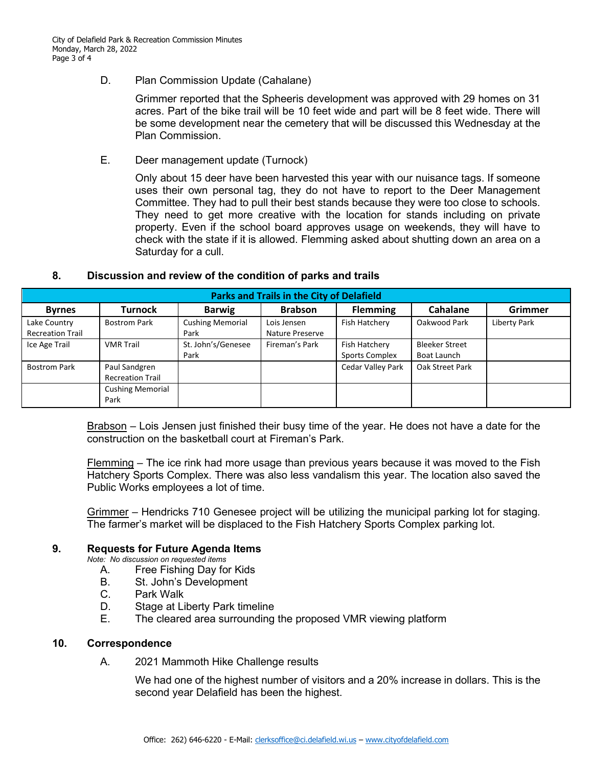D. Plan Commission Update (Cahalane)

Grimmer reported that the Spheeris development was approved with 29 homes on 31 acres. Part of the bike trail will be 10 feet wide and part will be 8 feet wide. There will be some development near the cemetery that will be discussed this Wednesday at the Plan Commission.

E. Deer management update (Turnock)

Only about 15 deer have been harvested this year with our nuisance tags. If someone uses their own personal tag, they do not have to report to the Deer Management Committee. They had to pull their best stands because they were too close to schools. They need to get more creative with the location for stands including on private property. Even if the school board approves usage on weekends, they will have to check with the state if it is allowed. Flemming asked about shutting down an area on a Saturday for a cull.

## **8. Discussion and review of the condition of parks and trails**

| <b>Parks and Trails in the City of Delafield</b> |                                          |                                 |                                |                                        |                                      |                |  |  |
|--------------------------------------------------|------------------------------------------|---------------------------------|--------------------------------|----------------------------------------|--------------------------------------|----------------|--|--|
| <b>Byrnes</b>                                    | Turnock                                  | <b>Barwig</b>                   | <b>Brabson</b>                 | <b>Flemming</b>                        | Cahalane                             | <b>Grimmer</b> |  |  |
| Lake Country<br><b>Recreation Trail</b>          | <b>Bostrom Park</b>                      | <b>Cushing Memorial</b><br>Park | Lois Jensen<br>Nature Preserve | Fish Hatchery                          | Oakwood Park                         | Liberty Park   |  |  |
| Ice Age Trail                                    | <b>VMR Trail</b>                         | St. John's/Genesee<br>Park      | Fireman's Park                 | Fish Hatchery<br><b>Sports Complex</b> | <b>Bleeker Street</b><br>Boat Launch |                |  |  |
| <b>Bostrom Park</b>                              | Paul Sandgren<br><b>Recreation Trail</b> |                                 |                                | <b>Cedar Valley Park</b>               | Oak Street Park                      |                |  |  |
|                                                  | <b>Cushing Memorial</b><br>Park          |                                 |                                |                                        |                                      |                |  |  |

Brabson – Lois Jensen just finished their busy time of the year. He does not have a date for the construction on the basketball court at Fireman's Park.

Flemming – The ice rink had more usage than previous years because it was moved to the Fish Hatchery Sports Complex. There was also less vandalism this year. The location also saved the Public Works employees a lot of time.

Grimmer – Hendricks 710 Genesee project will be utilizing the municipal parking lot for staging. The farmer's market will be displaced to the Fish Hatchery Sports Complex parking lot.

#### **9. Requests for Future Agenda Items**

*Note: No discussion on requested items*

- A. Free Fishing Day for Kids
- B. St. John's Development
- C. Park Walk<br>D. Stage at Li
- **Stage at Liberty Park timeline**
- E. The cleared area surrounding the proposed VMR viewing platform

#### **10. Correspondence**

A. 2021 Mammoth Hike Challenge results

We had one of the highest number of visitors and a 20% increase in dollars. This is the second year Delafield has been the highest.